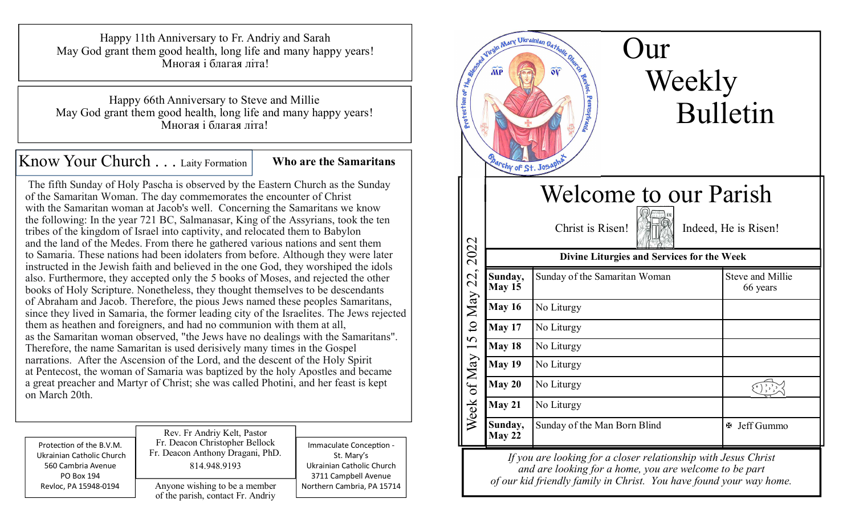Happy 11th Anniversary to Fr. Andriy and Sarah May God grant them good health, long life and many happy years! Многая i благая літа!

Happy 66th Anniversary to Steve and Millie May God grant them good health, long life and many happy years! Многая i благая літа!

Know Your Church . . . Laity Formation **Who are the Samaritans** 

 The fifth Sunday of Holy Pascha is observed by the Eastern Church as the Sunday of the Samaritan Woman. The day commemorates the encounter of Christ with the Samaritan woman at Jacob's well. Concerning the Samaritans we know the following: In the year 721 BC, Salmanasar, King of the Assyrians, took the ten tribes of the kingdom of Israel into captivity, and relocated them to Babylon and the land of the Medes. From there he gathered various nations and sent them to Samaria. These nations had been idolaters from before. Although they were later instructed in the Jewish faith and believed in the one God, they worshiped the idols also. Furthermore, they accepted only the 5 books of Moses, and rejected the other books of Holy Scripture. Nonetheless, they thought themselves to be descendants of Abraham and Jacob. Therefore, the pious Jews named these peoples Samaritans, since they lived in Samaria, the former leading city of the Israelites. The Jews rejected them as heathen and foreigners, and had no communion with them at all, as the Samaritan woman observed, "the Jews have no dealings with the Samaritans". Therefore, the name Samaritan is used derisively many times in the Gospel narrations. After the Ascension of the Lord, and the descent of the Holy Spirit at Pentecost, the woman of Samaria was baptized by the holy Apostles and became a great preacher and Martyr of Christ; she was called Photini, and her feast is kept on March 20th.

| Protection of the B.V.M.  | Rev. Fr Andriy Kelt, Pastor                                        | Immaculate Conception -    |
|---------------------------|--------------------------------------------------------------------|----------------------------|
| Ukrainian Catholic Church | Fr. Deacon Christopher Bellock                                     | St. Mary's                 |
| 560 Cambria Avenue        | Fr. Deacon Anthony Dragani, PhD.                                   | Ukrainian Catholic Church  |
| PO Box 194                | 814.948.9193                                                       | 3711 Campbell Avenue       |
| Revloc, PA 15948-0194     | Anyone wishing to be a member<br>of the parish, contact Fr. Andriy | Northern Cambria, PA 15714 |



*If you are looking for a closer relationship with Jesus Christand are looking for a home, you are welcome to be part of our kid friendly family in Christ. You have found your way home.*